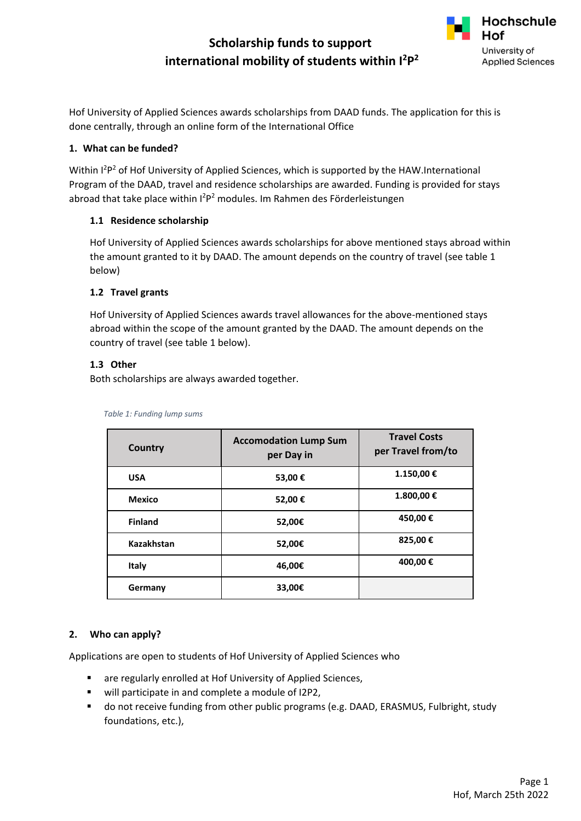# **Scholarship funds to support international mobility of students within I<sup>2</sup>P 2**



Hof University of Applied Sciences awards scholarships from DAAD funds. The application for this is done centrally, through an online form of the International Office

### **1. What can be funded?**

Within I<sup>2</sup>P<sup>2</sup> of Hof University of Applied Sciences, which is supported by the HAW.International Program of the DAAD, travel and residence scholarships are awarded. Funding is provided for stays abroad that take place within I<sup>2</sup>P<sup>2</sup> modules. Im Rahmen des Förderleistungen

### **1.1 Residence scholarship**

Hof University of Applied Sciences awards scholarships for above mentioned stays abroad within the amount granted to it by DAAD. The amount depends on the country of travel (see table 1 below)

### **1.2 Travel grants**

Hof University of Applied Sciences awards travel allowances for the above-mentioned stays abroad within the scope of the amount granted by the DAAD. The amount depends on the country of travel (see table 1 below).

### **1.3 Other**

Both scholarships are always awarded together.

| <b>Country</b>    | <b>Accomodation Lump Sum</b><br>per Day in | <b>Travel Costs</b><br>per Travel from/to |
|-------------------|--------------------------------------------|-------------------------------------------|
| <b>USA</b>        | 53,00€                                     | 1.150,00€                                 |
| <b>Mexico</b>     | 52,00€                                     | 1.800,00€                                 |
| <b>Finland</b>    | 52,00€                                     | 450,00€                                   |
| <b>Kazakhstan</b> | 52,00€                                     | 825,00€                                   |
| Italy             | 46,00€                                     | 400,00€                                   |
| Germany           | 33,00€                                     |                                           |

*Table 1: Funding lump sums*

### **2. Who can apply?**

Applications are open to students of Hof University of Applied Sciences who

- are regularly enrolled at Hof University of Applied Sciences,
- will participate in and complete a module of I2P2,
- do not receive funding from other public programs (e.g. DAAD, ERASMUS, Fulbright, study foundations, etc.),